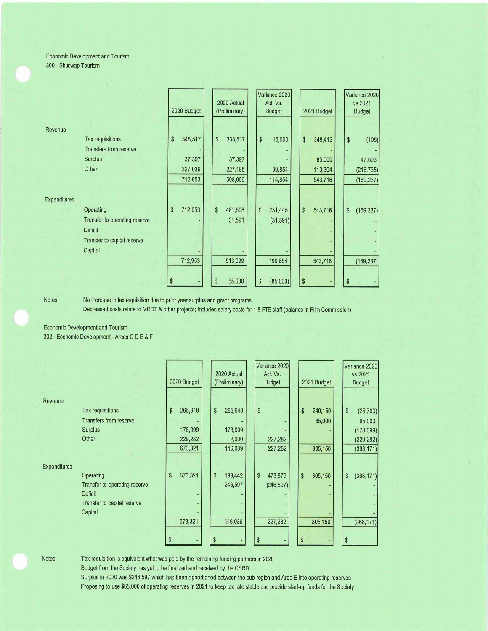## Economic Development and Tourism 300 - Shuswap Tourism

|                     |                               | 2020 Budget   | 2020 Actual<br>(Preliminary) | Variance 2020<br>Act. Vs.<br><b>Budget</b> | 2021 Budget   | Variance 2020<br>vs 2021<br><b>Budget</b> |
|---------------------|-------------------------------|---------------|------------------------------|--------------------------------------------|---------------|-------------------------------------------|
| Revenue             |                               |               |                              |                                            |               |                                           |
|                     | Tax requisitions              | \$<br>348,517 | \$<br>333,517                | \$<br>15,000                               | \$<br>348,412 | \$<br>(105)                               |
|                     | <b>Transfers from reserve</b> |               |                              |                                            |               |                                           |
|                     | <b>Surplus</b>                | 37,397        | 37,397                       |                                            | 85,000        | 47,603                                    |
|                     | Other                         | 327,039       | 227,185                      | 99,854                                     | 110,304       | (216, 735)                                |
|                     |                               | 712,953       | 598,099                      | 114,854                                    | 543,716       | (169, 237)                                |
|                     |                               |               |                              |                                            |               |                                           |
| <b>Expenditures</b> |                               |               |                              |                                            |               |                                           |
|                     | Operating                     | \$<br>712,953 | \$<br>481,508                | \$<br>231,445                              | \$<br>543,716 | \$<br>(169, 237)                          |
|                     | Transfer to operating reserve |               | 31,591                       | (31, 591)                                  |               |                                           |
|                     | <b>Deficit</b>                |               |                              |                                            |               |                                           |
|                     | Transfer to capital reserve   |               |                              |                                            |               |                                           |
|                     | Capital                       | ۰             |                              |                                            |               |                                           |
|                     |                               | 712,953       | 513,099                      | 199,854                                    | 543,716       | (169, 237)                                |
|                     |                               |               |                              |                                            |               |                                           |
|                     |                               | \$            | 85,000<br>\$                 | \$<br>(85,000)                             | \$            | \$                                        |

Notes:

No increase in tax requisition due to prior year surplus and grant programs

Decreased costs relate to MRDT & other projects; includes salary costs for 1,8 FTE staff (balance in Film Commission)

Economic Development and Tourism

302 - Economic Development - Areas CD E & F

|                     |                               | 2020 Budget   |    | 2020 Actual<br>(Preliminary) |    | Variance 2020<br>Act. Vs.<br><b>Budget</b> |    | 2021 Budget |    | Variance 2020<br>vs 2021<br><b>Budget</b> |
|---------------------|-------------------------------|---------------|----|------------------------------|----|--------------------------------------------|----|-------------|----|-------------------------------------------|
| Revenue             |                               |               |    |                              |    |                                            |    |             |    |                                           |
|                     | <b>Tax requisitions</b>       | \$<br>265,940 | \$ | 265,940                      | \$ |                                            | \$ | 240,150     | \$ | (25, 790)                                 |
|                     | <b>Transfers from reserve</b> |               |    |                              |    |                                            |    | 65,000      |    | 65,000                                    |
|                     | Surplus                       | 178,099       |    | 178,099                      |    |                                            |    |             |    | (178,099)                                 |
|                     | Other                         | 229,282       |    | 2,000                        |    | 227,282                                    |    |             |    | (229, 282)                                |
|                     |                               | 673,321       |    | 446,039                      |    | 227,282                                    |    | 305,150     |    | (368, 171)                                |
| <b>Expenditures</b> |                               |               |    |                              |    |                                            |    |             |    |                                           |
|                     | Operating                     | \$<br>673,321 | \$ | 199,442                      | \$ | 473,879                                    | \$ | 305,150     | \$ | (368, 171)                                |
|                     | Transfer to operating reserve |               |    | 246,597                      |    | (246, 597)                                 |    |             |    |                                           |
|                     | <b>Deficit</b>                |               |    |                              |    |                                            |    |             |    |                                           |
|                     | Transfer to capital reserve   |               |    |                              |    |                                            |    |             |    |                                           |
|                     | Capital                       |               |    |                              |    |                                            |    |             |    |                                           |
|                     |                               | 673,321       |    | 446,039                      |    | 227,282                                    |    | 305,150     |    | (368, 171)                                |
|                     |                               |               |    |                              |    |                                            |    |             |    |                                           |
|                     |                               |               | \$ |                              | \$ |                                            | \$ |             | S  |                                           |

Notes:

Tax requisition is equivalent what was paid by the remaining funding partners in 2020

Budget from the Society has yet to be finalized and received by the CSRD

Surplus in 2020 was \$246,597 which has been apportioned between the sub-region and Area E into operating reserves Proposing to use \$65,000 of operating reserves in 2021 to keep tax rate stable and provide start-up funds for the Society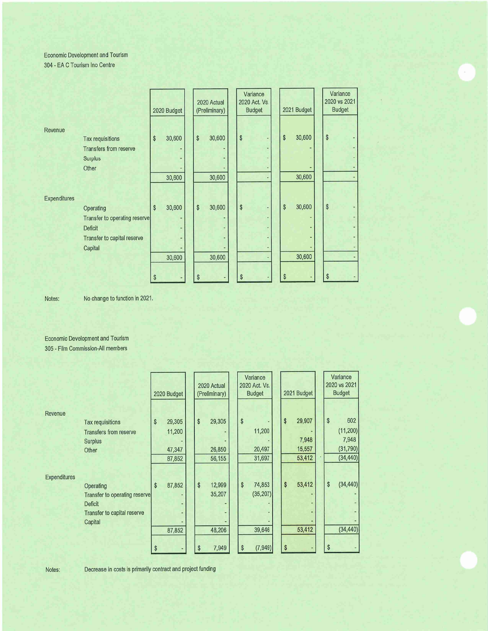Economic Development and Tourism

304 - EA C Tourism Ino Centre

|                     |                                                                                                        | 2020 Budget  | 2020 Actual<br>(Preliminary) | Variance<br>2020 Act. Vs.<br><b>Budget</b> | 2021 Budget  | Variance<br>2020 vs 2021<br><b>Budget</b> |
|---------------------|--------------------------------------------------------------------------------------------------------|--------------|------------------------------|--------------------------------------------|--------------|-------------------------------------------|
| Revenue             | Tax requisitions<br><b>Transfers from reserve</b><br>Surplus                                           | \$<br>30,600 | \$<br>30,600                 | \$                                         | \$<br>30,600 | \$                                        |
|                     | Other                                                                                                  | 30,600       | 30,600                       |                                            | 30,600       |                                           |
| <b>Expenditures</b> | Operating<br>Transfer to operating reserve<br><b>Deficit</b><br>Transfer to capital reserve<br>Capital | \$<br>30,600 | \$<br>30,600                 | \$<br>٠                                    | 30,600<br>\$ | \$                                        |
|                     |                                                                                                        | \$<br>30,600 | 30,600<br>\$                 | \$                                         | 30,600       | \$                                        |

Notes: No change to function in 2021.

Economic Development and Tourism 305 - Film Commission-AII members

|                     |                                                                                                        | 2020 Budget |                  |    | 2020 Actual<br>(Preliminary) | Variance<br>2020 Act. Vs.<br><b>Budget</b> |                               | 2021 Budget |    |                  |    | Variance<br>2020 vs 2021<br><b>Budget</b> |
|---------------------|--------------------------------------------------------------------------------------------------------|-------------|------------------|----|------------------------------|--------------------------------------------|-------------------------------|-------------|----|------------------|----|-------------------------------------------|
| Revenue             |                                                                                                        |             |                  |    |                              |                                            |                               |             |    |                  |    |                                           |
|                     | <b>Tax requisitions</b>                                                                                | \$          | 29,305           | \$ | 29,305                       | \$                                         |                               |             | \$ | 29,907           | \$ | 602                                       |
|                     | <b>Transfers from reserve</b>                                                                          |             | 11,200           |    |                              |                                            | 11,200                        |             |    |                  |    | (11, 200)                                 |
|                     | <b>Surplus</b>                                                                                         |             |                  |    |                              |                                            |                               |             |    | 7,948            |    | 7,948                                     |
|                     | Other                                                                                                  |             | 47,347           |    | 26,850                       |                                            | 20,497                        |             |    | 15,557           |    | (31, 790)                                 |
|                     |                                                                                                        |             | 87,852           |    | 56,155                       |                                            | 31,697                        |             |    | 53,412           |    | (34, 440)                                 |
| <b>Expenditures</b> | Operating<br>Transfer to operating reserve<br><b>Deficit</b><br>Transfer to capital reserve<br>Capital | \$          | 87,852<br>87,852 | \$ | 12,999<br>35,207<br>48,206   | \$                                         | 74,853<br>(35, 207)<br>39,646 |             | \$ | 53,412<br>53,412 | \$ | (34, 440)<br>(34, 440)                    |
|                     |                                                                                                        | \$          |                  | S  | 7,949                        | \$                                         | (7,949)                       |             | \$ |                  |    |                                           |

Notes: Decrease in costs is primarily contract and project funding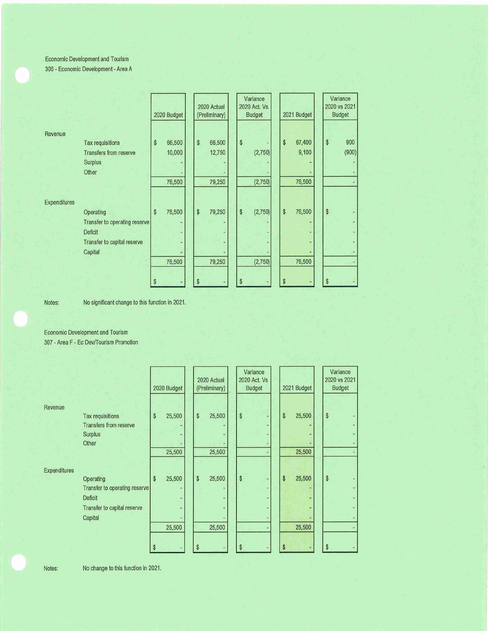## Economic Development and Tourism 306 - Economic Development - Area A

|                     |                                                                                                        | 2020 Budget                      | 2020 Actual<br>(Preliminary)      | Variance<br>2020 Act. Vs.<br><b>Budget</b> | 2021 Budget |                           | Variance<br>2020 vs 2021<br><b>Budget</b> |              |
|---------------------|--------------------------------------------------------------------------------------------------------|----------------------------------|-----------------------------------|--------------------------------------------|-------------|---------------------------|-------------------------------------------|--------------|
| Revenue             | Tax requisitions<br><b>Transfers from reserve</b><br><b>Surplus</b><br>Other                           | \$<br>66,500<br>10,000<br>76,500 | \$<br>66,500<br>12,750<br>79,250  | \$<br>(2,750)<br>(2,750)                   | \$          | 67,400<br>9,100<br>76,500 | $\,$                                      | 900<br>(900) |
| <b>Expenditures</b> | Operating<br>Transfer to operating reserve<br><b>Deficit</b><br>Transfer to capital reserve<br>Capital | \$<br>76,500                     | $\sqrt[6]{\frac{1}{2}}$<br>79,250 | \$<br>(2,750)                              | \$          | 76,500                    | $\,$                                      |              |
|                     |                                                                                                        | \$<br>76,500                     | 79,250<br>\$                      | (2,750)<br>\$                              | S           | 76,500                    | \$                                        |              |

Notes: No significant change to this function in 2021.

Economic Development and Tourism 307 - Area F - Ec Dev/Tourism Promotion

|              |                               | 2020 Budget  | 2020 Actual<br>(Preliminary) | Variance<br>2020 Act. Vs.<br><b>Budget</b> | 2021 Budget             | Variance<br>2020 vs 2021<br><b>Budget</b> |
|--------------|-------------------------------|--------------|------------------------------|--------------------------------------------|-------------------------|-------------------------------------------|
| Revenue      |                               |              |                              |                                            |                         |                                           |
|              | Tax requisitions              | \$<br>25,500 | \$<br>25,500                 | \$                                         | $\mathsf{\$}$<br>25,500 | $\sqrt[6]{2}$                             |
|              | <b>Transfers from reserve</b> |              |                              |                                            |                         |                                           |
|              | <b>Surplus</b>                |              |                              |                                            |                         |                                           |
|              | Other                         |              |                              |                                            |                         |                                           |
|              |                               | 25,500       | 25,500                       |                                            | 25,500                  |                                           |
|              |                               |              |                              |                                            |                         |                                           |
| Expenditures |                               |              |                              |                                            |                         |                                           |
|              | Operating                     | 25,500<br>\$ | \$<br>25,500                 | \$                                         | \$<br>25,500            | $\$\$                                     |
|              | Transfer to operating reserve |              |                              |                                            |                         |                                           |
|              | Deficit                       |              |                              |                                            |                         |                                           |
|              | Transfer to capital reserve   |              |                              |                                            |                         |                                           |
|              | Capital                       |              |                              |                                            |                         |                                           |
|              |                               | 25,500       | 25,500                       |                                            | 25,500                  |                                           |
|              |                               |              |                              |                                            |                         |                                           |
|              |                               | \$           | \$                           | \$                                         | S                       | \$                                        |

Notes; No change to this function in 2021.